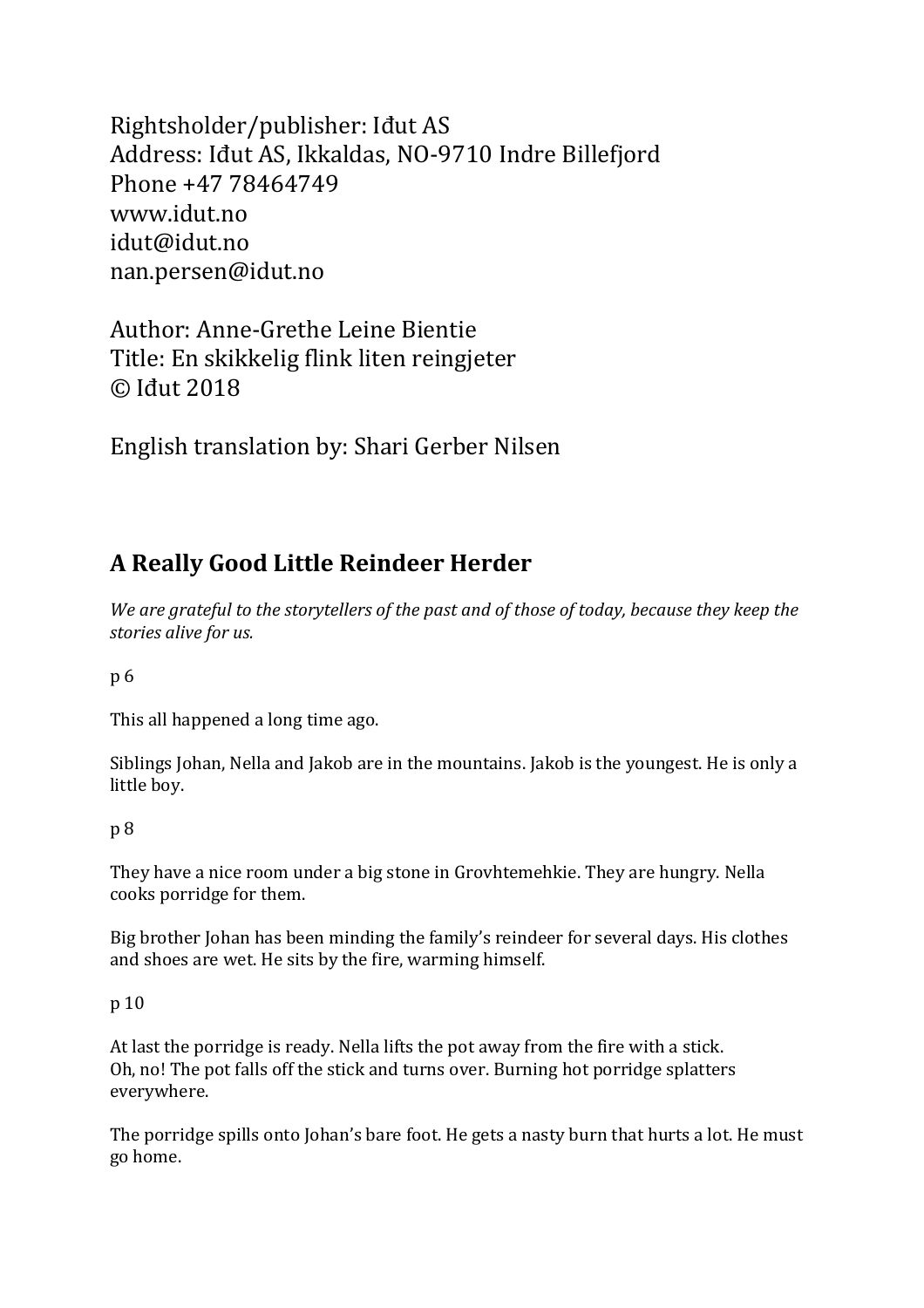Rightsholder/publisher: Idut AS Address: Idut AS, Ikkaldas, NO-9710 Indre Billefjord Phone +47 78464749 www.idut.no idut@idut.no nan.persen@idut.no

Author: Anne-Grethe Leine Bientie Title: En skikkelig flink liten reingjeter © Iđut 2018

English translation by: Shari Gerber Nilsen

# **A Really Good Little Reindeer Herder**

We are grateful to the storytellers of the past and of those of today, because they keep the stories alive for us.

p 6

This all happened a long time ago.

Siblings Iohan, Nella and Jakob are in the mountains. Jakob is the voungest. He is only a little boy.

## p 8

They have a nice room under a big stone in Grovhtemehkie. They are hungry. Nella cooks porridge for them.

Big brother Johan has been minding the family's reindeer for several days. His clothes and shoes are wet. He sits by the fire, warming himself.

## p 10

At last the porridge is ready. Nella lifts the pot away from the fire with a stick. Oh, no! The pot falls off the stick and turns over. Burning hot porridge splatters everywhere.

The porridge spills onto Johan's bare foot. He gets a nasty burn that hurts a lot. He must go home.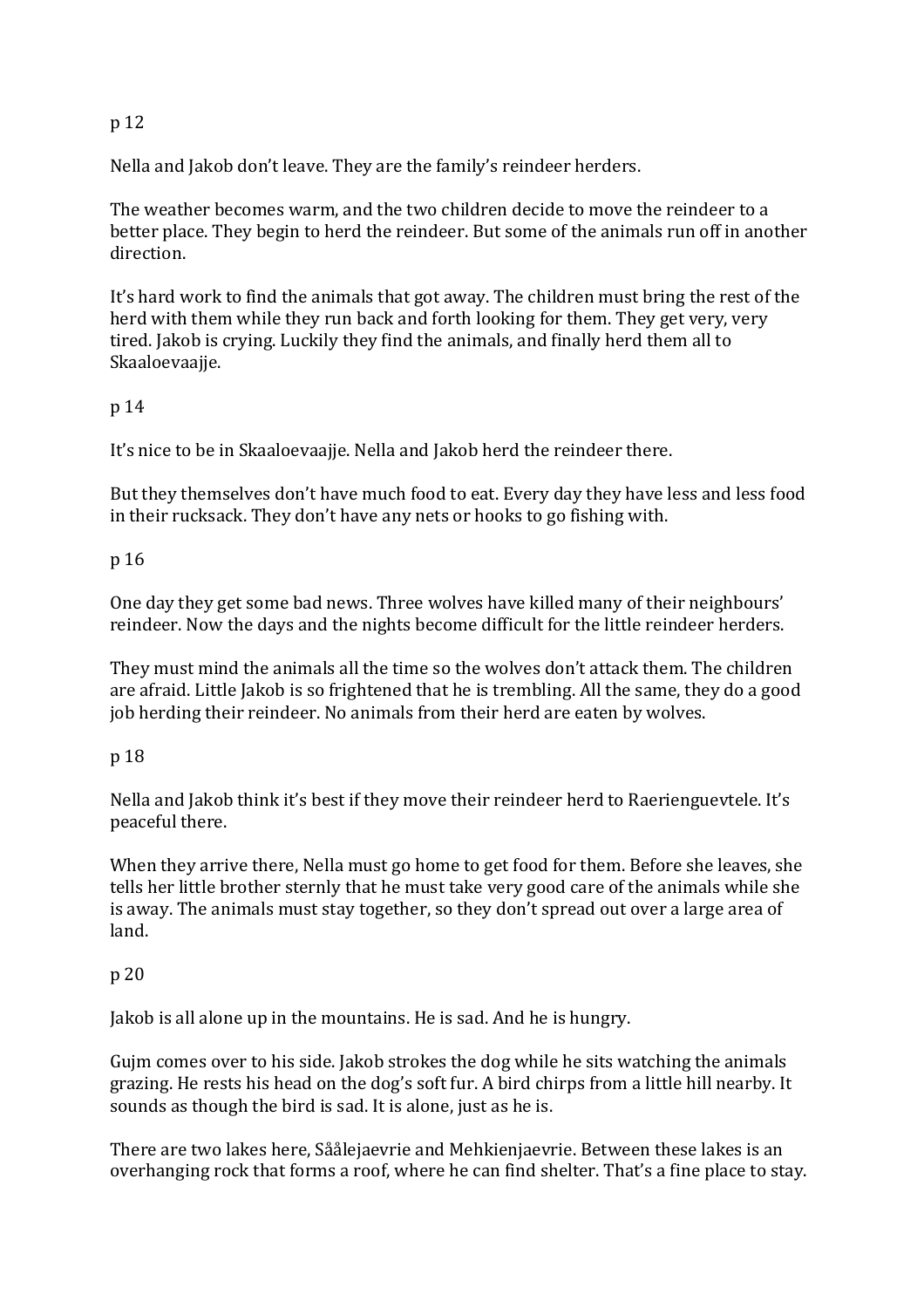## p 12

Nella and Jakob don't leave. They are the family's reindeer herders.

The weather becomes warm, and the two children decide to move the reindeer to a better place. They begin to herd the reindeer. But some of the animals run off in another direction.

It's hard work to find the animals that got away. The children must bring the rest of the herd with them while they run back and forth looking for them. They get very, very tired. Jakob is crying. Luckily they find the animals, and finally herd them all to Skaaloevaajje.

## p 14

It's nice to be in Skaaloevaajje. Nella and Jakob herd the reindeer there.

But they themselves don't have much food to eat. Every day they have less and less food in their rucksack. They don't have any nets or hooks to go fishing with.

## p 16

One day they get some bad news. Three wolves have killed many of their neighbours' reindeer. Now the days and the nights become difficult for the little reindeer herders.

They must mind the animals all the time so the wolves don't attack them. The children are afraid. Little Jakob is so frightened that he is trembling. All the same, they do a good job herding their reindeer. No animals from their herd are eaten by wolves.

## p 18

Nella and Jakob think it's best if they move their reindeer herd to Raerienguevtele. It's peaceful there.

When they arrive there, Nella must go home to get food for them. Before she leaves, she tells her little brother sternly that he must take very good care of the animals while she is away. The animals must stay together, so they don't spread out over a large area of land.

## p 20

Jakob is all alone up in the mountains. He is sad. And he is hungry.

Gujm comes over to his side. Jakob strokes the dog while he sits watching the animals grazing. He rests his head on the dog's soft fur. A bird chirps from a little hill nearby. It sounds as though the bird is sad. It is alone, just as he is.

There are two lakes here, Såålejaevrie and Mehkienjaevrie. Between these lakes is an overhanging rock that forms a roof, where he can find shelter. That's a fine place to stay.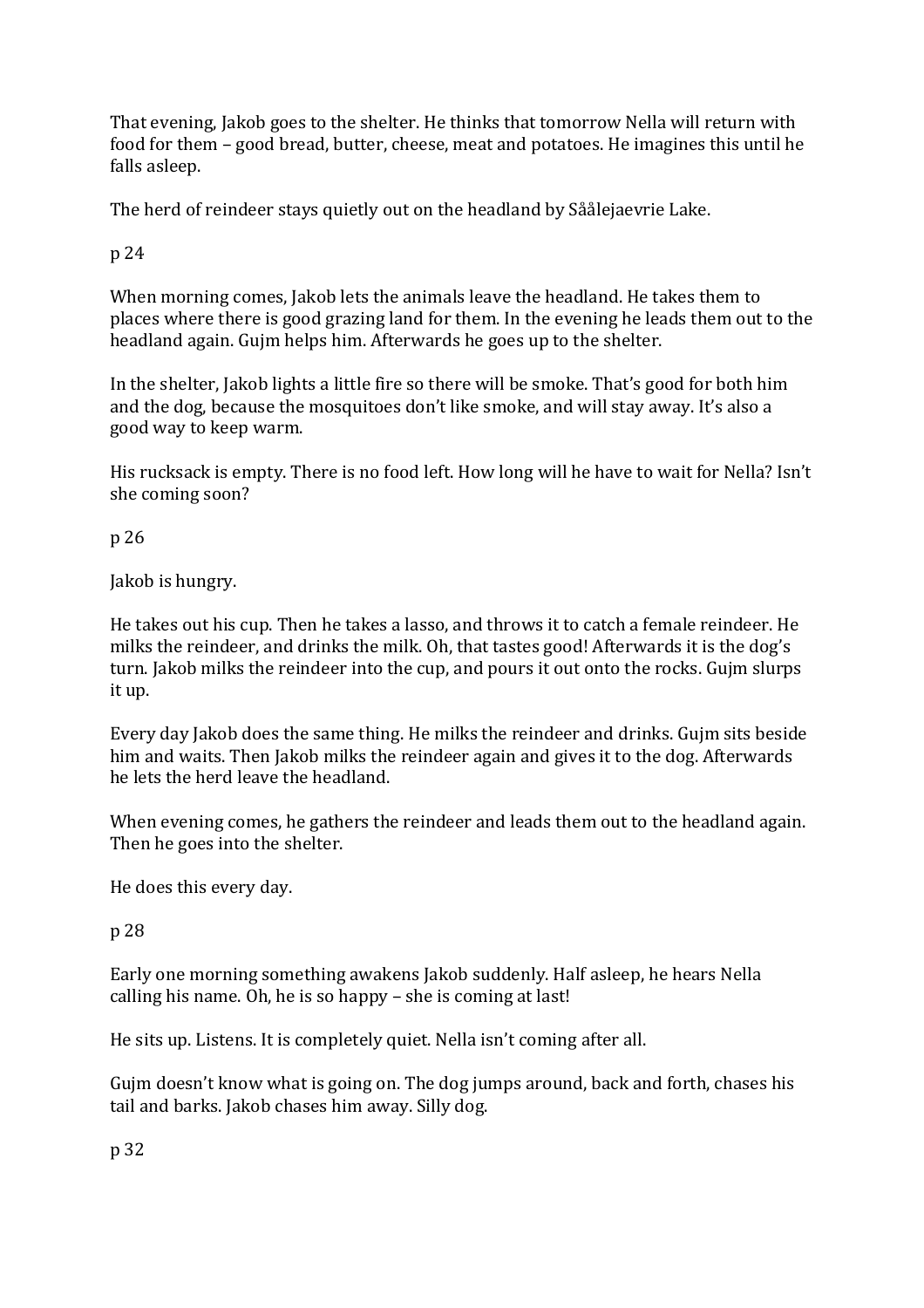That evening, Jakob goes to the shelter. He thinks that tomorrow Nella will return with food for them - good bread, butter, cheese, meat and potatoes. He imagines this until he falls asleep.

The herd of reindeer stays quietly out on the headland by Såålejaevrie Lake.

p 24

When morning comes, Jakob lets the animals leave the headland. He takes them to places where there is good grazing land for them. In the evening he leads them out to the headland again. Gujm helps him. Afterwards he goes up to the shelter.

In the shelter, Jakob lights a little fire so there will be smoke. That's good for both him and the dog, because the mosquitoes don't like smoke, and will stay away. It's also a good way to keep warm.

His rucksack is empty. There is no food left. How long will he have to wait for Nella? Isn't she coming soon?

p 26

Jakob is hungry.

He takes out his cup. Then he takes a lasso, and throws it to catch a female reindeer. He milks the reindeer, and drinks the milk. Oh, that tastes good! Afterwards it is the dog's turn. Jakob milks the reindeer into the cup, and pours it out onto the rocks. Gujm slurps it up.

Every day Jakob does the same thing. He milks the reindeer and drinks. Gujm sits beside him and waits. Then Jakob milks the reindeer again and gives it to the dog. Afterwards he lets the herd leave the headland.

When evening comes, he gathers the reindeer and leads them out to the headland again. Then he goes into the shelter.

He does this every day.

p 28

Early one morning something awakens Jakob suddenly. Half asleep, he hears Nella calling his name. Oh, he is so happy  $-$  she is coming at last!

He sits up. Listens. It is completely quiet. Nella isn't coming after all.

Gujm doesn't know what is going on. The dog jumps around, back and forth, chases his tail and barks. Jakob chases him away. Silly dog.

p 32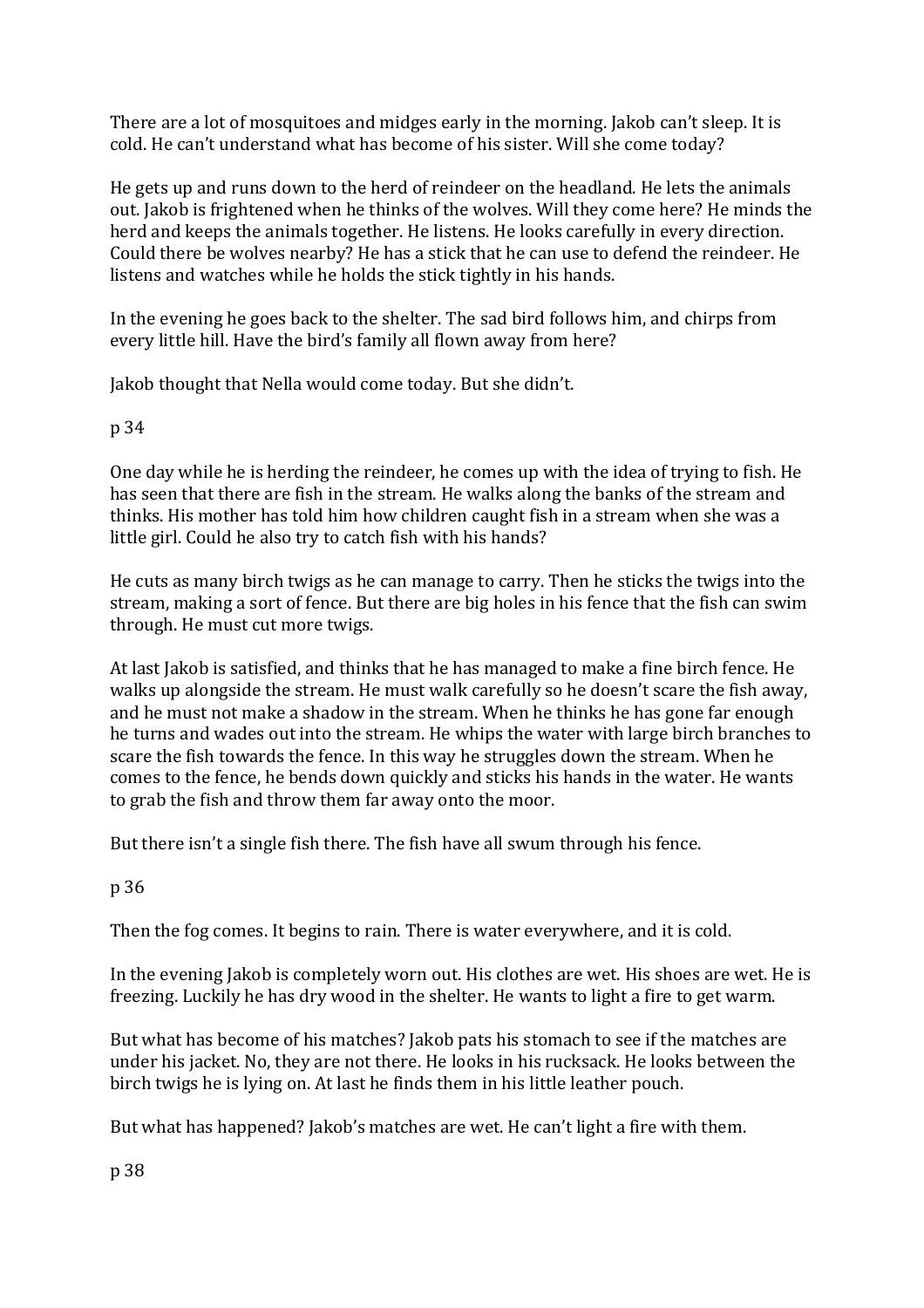There are a lot of mosquitoes and midges early in the morning. Jakob can't sleep. It is cold. He can't understand what has become of his sister. Will she come today?

He gets up and runs down to the herd of reindeer on the headland. He lets the animals out. Jakob is frightened when he thinks of the wolves. Will they come here? He minds the herd and keeps the animals together. He listens. He looks carefully in every direction. Could there be wolves nearby? He has a stick that he can use to defend the reindeer. He listens and watches while he holds the stick tightly in his hands.

In the evening he goes back to the shelter. The sad bird follows him, and chirps from every little hill. Have the bird's family all flown away from here?

Jakob thought that Nella would come today. But she didn't.

## p 34

One day while he is herding the reindeer, he comes up with the idea of trying to fish. He has seen that there are fish in the stream. He walks along the banks of the stream and thinks. His mother has told him how children caught fish in a stream when she was a little girl. Could he also try to catch fish with his hands?

He cuts as many birch twigs as he can manage to carry. Then he sticks the twigs into the stream, making a sort of fence. But there are big holes in his fence that the fish can swim through. He must cut more twigs.

At last Jakob is satisfied, and thinks that he has managed to make a fine birch fence. He walks up alongside the stream. He must walk carefully so he doesn't scare the fish away, and he must not make a shadow in the stream. When he thinks he has gone far enough he turns and wades out into the stream. He whips the water with large birch branches to scare the fish towards the fence. In this way he struggles down the stream. When he comes to the fence, he bends down quickly and sticks his hands in the water. He wants to grab the fish and throw them far away onto the moor.

But there isn't a single fish there. The fish have all swum through his fence.

## p 36

Then the fog comes. It begins to rain. There is water everywhere, and it is cold.

In the evening Jakob is completely worn out. His clothes are wet. His shoes are wet. He is freezing. Luckily he has dry wood in the shelter. He wants to light a fire to get warm.

But what has become of his matches? Jakob pats his stomach to see if the matches are under his jacket. No, they are not there. He looks in his rucksack. He looks between the birch twigs he is lying on. At last he finds them in his little leather pouch.

But what has happened? Jakob's matches are wet. He can't light a fire with them.

p 38